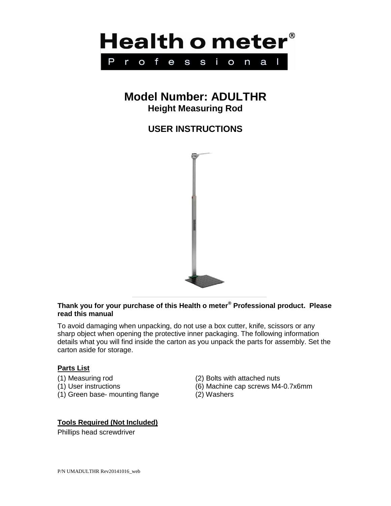

# **Model Number: ADULTHR Height Measuring Rod**

# **USER INSTRUCTIONS**



## **Thank you for your purchase of this Health o meter® Professional product. Please read this manual**

To avoid damaging when unpacking, do not use a box cutter, knife, scissors or any sharp object when opening the protective inner packaging. The following information details what you will find inside the carton as you unpack the parts for assembly. Set the carton aside for storage.

### **Parts List**

- 
- 
- (1) Green base- mounting flange (2) Washers
- (1) Measuring rod (2) Bolts with attached nuts
- (1) User instructions (6) Machine cap screws M4-0.7x6mm
	-

### **Tools Required (Not Included)**

Phillips head screwdriver

P/N UMADULTHR Rev20141016\_web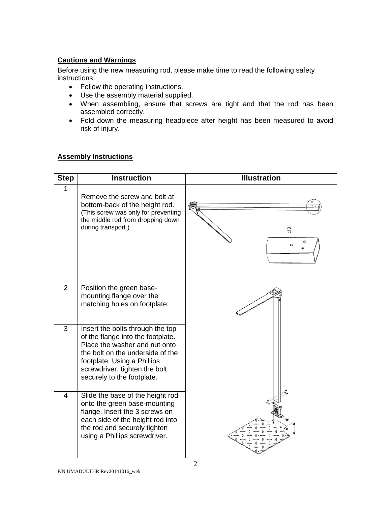## **Cautions and Warnings**

Before using the new measuring rod, please make time to read the following safety instructions:

- Follow the operating instructions.
- Use the assembly material supplied.
- When assembling, ensure that screws are tight and that the rod has been assembled correctly.
- Fold down the measuring headpiece after height has been measured to avoid risk of injury.

### **Assembly Instructions**

| <b>Step</b>    | <b>Instruction</b>                                                                                                                                                                                                                       | <b>Illustration</b>             |
|----------------|------------------------------------------------------------------------------------------------------------------------------------------------------------------------------------------------------------------------------------------|---------------------------------|
| 1              | Remove the screw and bolt at<br>bottom-back of the height rod.<br>(This screw was only for preventing<br>the middle rod from dropping down<br>during transport.)                                                                         | 8<br>$\epsilon$<br>$\circ$<br>Θ |
| $\overline{2}$ | Position the green base-<br>mounting flange over the<br>matching holes on footplate.                                                                                                                                                     |                                 |
| 3              | Insert the bolts through the top<br>of the flange into the footplate.<br>Place the washer and nut onto<br>the bolt on the underside of the<br>footplate. Using a Phillips<br>screwdriver, tighten the bolt<br>securely to the footplate. |                                 |
| $\overline{4}$ | Slide the base of the height rod<br>onto the green base-mounting<br>flange. Insert the 3 screws on<br>each side of the height rod into<br>the rod and securely tighten<br>using a Phillips screwdriver.                                  |                                 |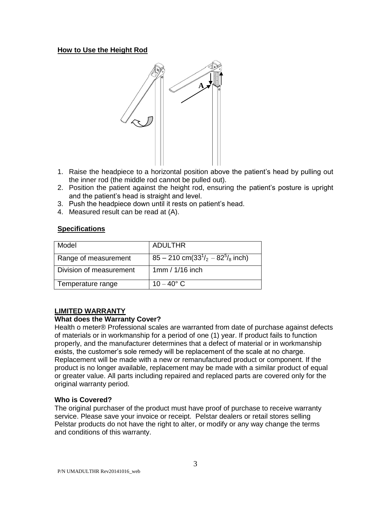### **How to Use the Height Rod**



- 1. Raise the headpiece to a horizontal position above the patient's head by pulling out the inner rod (the middle rod cannot be pulled out).
- 2. Position the patient against the height rod, ensuring the patient's posture is upright and the patient's head is straight and level.
- 3. Push the headpiece down until it rests on patient's head.
- 4. Measured result can be read at (A).

#### **Specifications**

| Model                   | ADULTHR                                    |
|-------------------------|--------------------------------------------|
| Range of measurement    | $85 - 210$ cm( $33^{1/2} - 82^{5/8}$ inch) |
| Division of measurement | 1mm / 1/16 inch                            |
| Temperature range       | $10 - 40^{\circ}$ C                        |

### **LIMITED WARRANTY**

### **What does the Warranty Cover?**

Health o meter® Professional scales are warranted from date of purchase against defects of materials or in workmanship for a period of one (1) year. If product fails to function properly, and the manufacturer determines that a defect of material or in workmanship exists, the customer's sole remedy will be replacement of the scale at no charge. Replacement will be made with a new or remanufactured product or component. If the product is no longer available, replacement may be made with a similar product of equal or greater value. All parts including repaired and replaced parts are covered only for the original warranty period.

#### **Who is Covered?**

The original purchaser of the product must have proof of purchase to receive warranty service. Please save your invoice or receipt. Pelstar dealers or retail stores selling Pelstar products do not have the right to alter, or modify or any way change the terms and conditions of this warranty.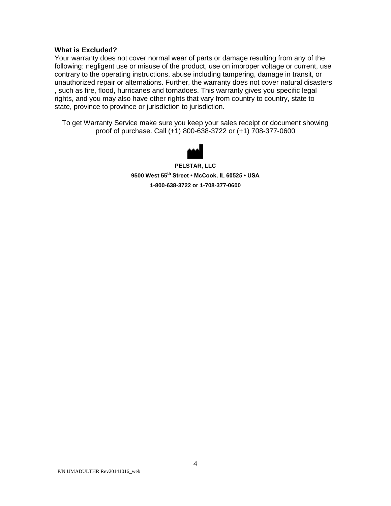#### **What is Excluded?**

Your warranty does not cover normal wear of parts or damage resulting from any of the following: negligent use or misuse of the product, use on improper voltage or current, use contrary to the operating instructions, abuse including tampering, damage in transit, or unauthorized repair or alternations. Further, the warranty does not cover natural disasters , such as fire, flood, hurricanes and tornadoes. This warranty gives you specific legal rights, and you may also have other rights that vary from country to country, state to state, province to province or jurisdiction to jurisdiction.

To get Warranty Service make sure you keep your sales receipt or document showing proof of purchase. Call (+1) 800-638-3722 or (+1) 708-377-0600



**PELSTAR, LLC 9500 West 55th Street • McCook, IL 60525 • USA 1-800-638-3722 or 1-708-377-0600**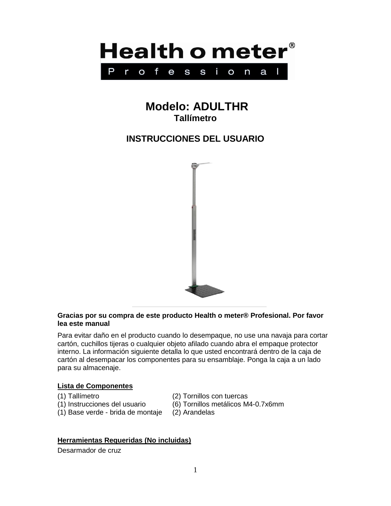

# **Modelo: ADULTHR Tallímetro**

# **INSTRUCCIONES DEL USUARIO**



### **Gracias por su compra de este producto Health o meter® Profesional. Por favor lea este manual**

Para evitar daño en el producto cuando lo desempaque, no use una navaja para cortar cartón, cuchillos tijeras o cualquier objeto afilado cuando abra el empaque protector interno. La información siguiente detalla lo que usted encontrará dentro de la caja de cartón al desempacar los componentes para su ensamblaje. Ponga la caja a un lado para su almacenaje.

### **Lista de Componentes**

- 
- (1) Tallímetro (2) Tornillos con tuercas
- (1) Instrucciones del usuario (6) Tornillos metálicos M4-0.7x6mm
- (1) Base verde brida de montaje (2) Arandelas
- 

## **Herramientas Requeridas (No incluidas)**

Desarmador de cruz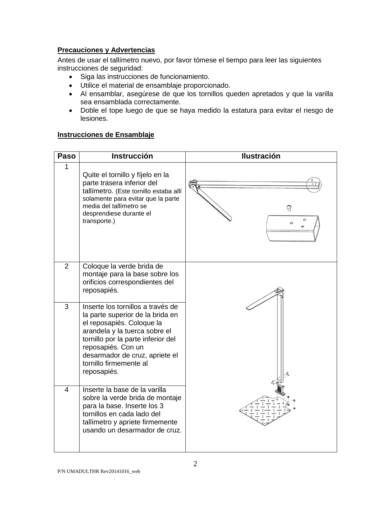## **Precauciones y Advertencias**

Antes de usar el tallímetro nuevo, por favor tómese el tiempo para leer las siguientes instrucciones de seguridad:

- Siga las instrucciones de funcionamiento.
- Utilice el material de ensamblaje proporcionado.
- Al ensamblar, asegúrese de que los tornillos queden apretados y que la varilla sea ensamblada correctamente.
- Doble el tope luego de que se haya medido la estatura para evitar el riesgo de lesiones.

### **Instrucciones de Ensamblaje**

| Paso           | <b>Instrucción</b>                                                                                                                                                                                                                                                         | <b>Ilustración</b>           |
|----------------|----------------------------------------------------------------------------------------------------------------------------------------------------------------------------------------------------------------------------------------------------------------------------|------------------------------|
| 1              | Quite el tornillo y fíjelo en la<br>parte trasera inferior del<br>tallímetro. (Este tornillo estaba allí<br>solamente para evitar que la parte<br>media del tallímetro se<br>desprendiese durante el<br>transporte.)                                                       | 8<br>$\circ$<br>$\circ$<br>A |
| $\overline{2}$ | Coloque la verde brida de<br>montaje para la base sobre los<br>orificios correspondientes del<br>reposapiés.                                                                                                                                                               |                              |
| 3              | Inserte los tornillos a través de<br>la parte superior de la brida en<br>el reposapiés. Coloque la<br>arandela y la tuerca sobre el<br>tornillo por la parte inferior del<br>reposapiés. Con un<br>desarmador de cruz, apriete el<br>tornillo firmemente al<br>reposapiés. |                              |
| $\overline{4}$ | Inserte la base de la varilla<br>sobre la verde brida de montaje<br>para la base. Inserte los 3<br>tornillos en cada lado del<br>tallímetro y apriete firmemente<br>usando un desarmador de cruz.                                                                          |                              |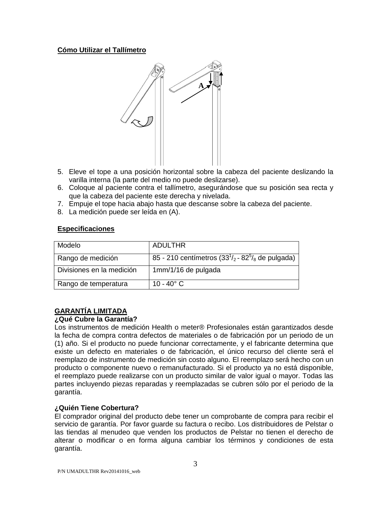### **Cómo Utilizar el Tallímetro**



- 5. Eleve el tope a una posición horizontal sobre la cabeza del paciente deslizando la varilla interna (la parte del medio no puede deslizarse).
- 6. Coloque al paciente contra el tallímetro, asegurándose que su posición sea recta y que la cabeza del paciente este derecha y nivelada.
- 7. Empuje el tope hacia abajo hasta que descanse sobre la cabeza del paciente.
- 8. La medición puede ser leída en (A).

### **Especificaciones**

| Modelo                    | ADULTHR                                                       |
|---------------------------|---------------------------------------------------------------|
| Rango de medición         | 85 - 210 centímetros $(33^{1}/_{2} - 82^{5})_{8}$ de pulgada) |
| Divisiones en la medición | 1mm/1/16 de pulgada                                           |
| Rango de temperatura      | 10 - 40 $^{\circ}$ C                                          |

## **GARANTÍA LIMITADA**

## **¿Qué Cubre la Garantía?**

Los instrumentos de medición Health o meter® Profesionales están garantizados desde la fecha de compra contra defectos de materiales o de fabricación por un periodo de un (1) año. Si el producto no puede funcionar correctamente, y el fabricante determina que existe un defecto en materiales o de fabricación, el único recurso del cliente será el reemplazo de instrumento de medición sin costo alguno. El reemplazo será hecho con un producto o componente nuevo o remanufacturado. Si el producto ya no está disponible, el reemplazo puede realizarse con un producto similar de valor igual o mayor. Todas las partes incluyendo piezas reparadas y reemplazadas se cubren sólo por el periodo de la garantía.

## **¿Quién Tiene Cobertura?**

El comprador original del producto debe tener un comprobante de compra para recibir el servicio de garantía. Por favor guarde su factura o recibo. Los distribuidores de Pelstar o las tiendas al menudeo que venden los productos de Pelstar no tienen el derecho de alterar o modificar o en forma alguna cambiar los términos y condiciones de esta garantía.